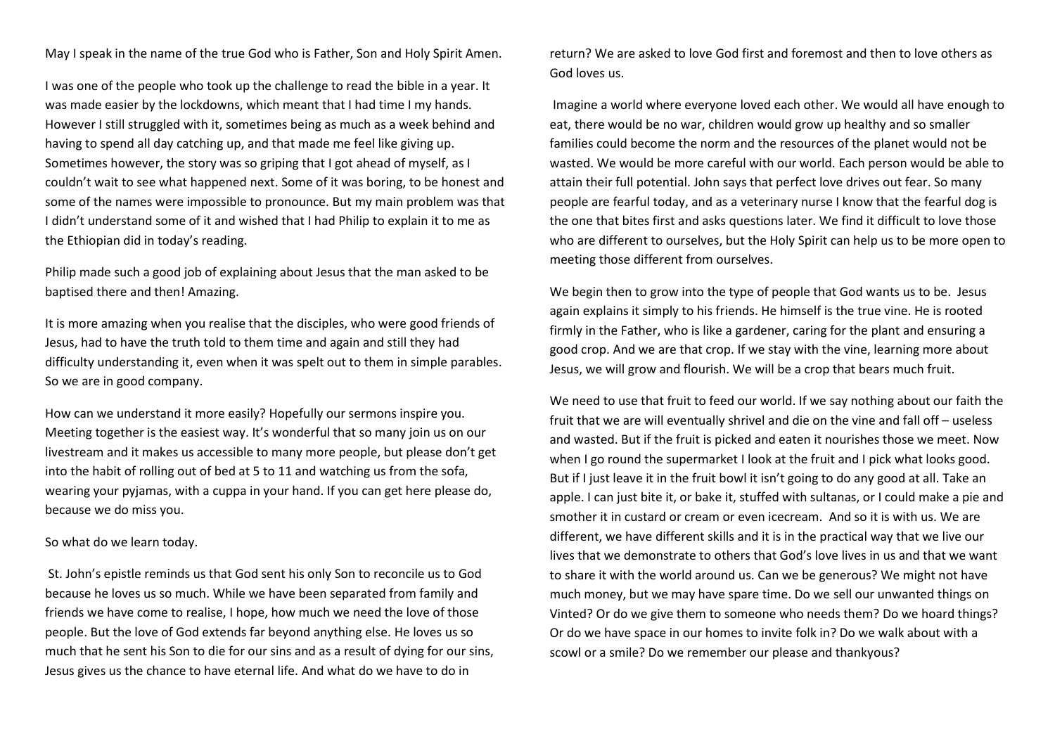May I speak in the name of the true God who is Father, Son and Holy Spirit Amen.

I was one of the people who took up the challenge to read the bible in a year. It was made easier by the lockdowns, which meant that I had time I my hands. However I still struggled with it, sometimes being as much as a week behind and having to spend all day catching up, and that made me feel like giving up. Sometimes however, the story was so griping that I got ahead of myself, as I couldn't wait to see what happened next. Some of it was boring, to be honest and some of the names were impossible to pronounce. But my main problem was that I didn't understand some of it and wished that I had Philip to explain it to me as the Ethiopian did in today's reading.

Philip made such a good job of explaining about Jesus that the man asked to be baptised there and then! Amazing.

It is more amazing when you realise that the disciples, who were good friends of Jesus, had to have the truth told to them time and again and still they had difficulty understanding it, even when it was spelt out to them in simple parables. So we are in good company.

How can we understand it more easily? Hopefully our sermons inspire you. Meeting together is the easiest way. It's wonderful that so many join us on our livestream and it makes us accessible to many more people, but please don't get into the habit of rolling out of bed at 5 to 11 and watching us from the sofa, wearing your pyjamas, with a cuppa in your hand. If you can get here please do, because we do miss you.

## So what do we learn today.

St. John's epistle reminds us that God sent his only Son to reconcile us to God because he loves us so much. While we have been separated from family and friends we have come to realise, I hope, how much we need the love of those people. But the love of God extends far beyond anything else. He loves us so much that he sent his Son to die for our sins and as a result of dying for our sins, Jesus gives us the chance to have eternal life. And what do we have to do in

return? We are asked to love God first and foremost and then to love others as God loves us.

Imagine a world where everyone loved each other. We would all have enough to eat, there would be no war, children would grow up healthy and so smaller families could become the norm and the resources of the planet would not be wasted. We would be more careful with our world. Each person would be able to attain their full potential. John says that perfect love drives out fear. So many people are fearful today, and as a veterinary nurse I know that the fearful dog is the one that bites first and asks questions later. We find it difficult to love those who are different to ourselves, but the Holy Spirit can help us to be more open to meeting those different from ourselves.

We begin then to grow into the type of people that God wants us to be. Jesus again explains it simply to his friends. He himself is the true vine. He is rooted firmly in the Father, who is like a gardener, caring for the plant and ensuring a good crop. And we are that crop. If we stay with the vine, learning more about Jesus, we will grow and flourish. We will be a crop that bears much fruit.

We need to use that fruit to feed our world. If we say nothing about our faith the fruit that we are will eventually shrivel and die on the vine and fall off – useless and wasted. But if the fruit is picked and eaten it nourishes those we meet. Now when I go round the supermarket I look at the fruit and I pick what looks good. But if I just leave it in the fruit bowl it isn't going to do any good at all. Take an apple. I can just bite it, or bake it, stuffed with sultanas, or I could make a pie and smother it in custard or cream or even icecream. And so it is with us. We are different, we have different skills and it is in the practical way that we live our lives that we demonstrate to others that God's love lives in us and that we want to share it with the world around us. Can we be generous? We might not have much money, but we may have spare time. Do we sell our unwanted things on Vinted? Or do we give them to someone who needs them? Do we hoard things? Or do we have space in our homes to invite folk in? Do we walk about with a scowl or a smile? Do we remember our please and thankyous?